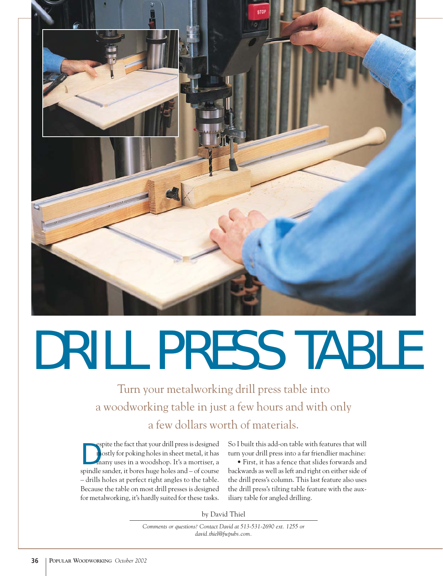

## DRILL PRESS TABLE

Turn your metalworking drill press table into a woodworking table in just a few hours and with only a few dollars worth of materials.

D espite the fact that your drill press is designed mostly for poking holes in sheet metal, it has many uses in a woodshop. It's a mortiser, a spindle sander, it bores huge holes and – of course – drills holes at perfect right angles to the table. Because the table on most drill presses is designed for metalworking, it's hardly suited for these tasks.

So I built this add-on table with features that will turn your drill press into a far friendlier machine:

• First, it has a fence that slides forwards and backwards as well as left and right on either side of the drill press's column. This last feature also uses the drill press's tilting table feature with the auxiliary table for angled drilling.

by David Thiel

*Comments or questions? Contact David at 513-531-2690 ext. 1255 or david.thiel@fwpubs.com.*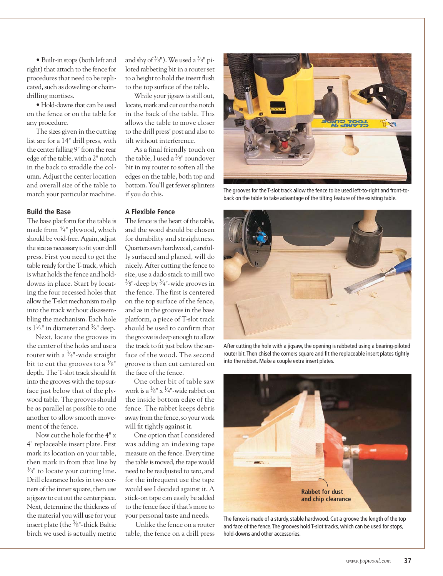• Built-in stops (both left and right) that attach to the fence for procedures that need to be replicated, such as doweling or chaindrilling mortises.

• Hold-downs that can be used on the fence or on the table for any procedure.

The sizes given in the cutting list are for a 14" drill press, with the center falling 9" from the rear edge of the table, with a 2" notch in the back to straddle the column. Adjust the center location and overall size of the table to match your particular machine.

## **Build the Base**

The base platform for the table is made from  $\frac{3}{4}$ " plywood, which should be void-free. Again, adjust the size as necessary to fit your drill press. First you need to get the table ready for the T-track, which is what holds the fence and holddowns in place. Start by locating the four recessed holes that allow the T-slot mechanism to slip into the track without disassembling the mechanism. Each hole is  $1\frac{1}{2}$ " in diameter and  $\frac{3}{8}$ " deep.

Next, locate the grooves in the center of the holes and use a router with a  $\frac{3}{4}$ "-wide straight bit to cut the grooves to a  $\frac{3}{8}$ " depth. The T-slot track should fit into the grooves with the top surface just below that of the plywood table. The grooves should be as parallel as possible to one another to allow smooth movement of the fence.

Now cut the hole for the 4" x 4" replaceable insert plate. First mark its location on your table, then mark in from that line by  $\frac{3}{8}$ " to locate your cutting line. Drill clearance holes in two corners of the inner square, then use a jigsaw to cut out the center piece. Next, determine the thickness of the material you will use for your insert plate (the <sup>3</sup>/8"-thick Baltic birch we used is actually metric

and shy of  $\frac{3}{8}$ "). We used a  $\frac{3}{8}$ " piloted rabbeting bit in a router set to a height to hold the insert flush to the top surface of the table.

While your jigsaw is still out, locate, mark and cut out the notch in the back of the table. This allows the table to move closer to the drill press' post and also to tilt without interference.

As a final friendly touch on the table, I used a  $\frac{3}{8}$ " roundover bit in my router to soften all the edges on the table, both top and bottom. You'll get fewer splinters if you do this.

## **A Flexible Fence**

The fence is the heart of the table, and the wood should be chosen for durability and straightness. Quartersawn hardwood, carefully surfaced and planed, will do nicely. After cutting the fence to size, use a dado stack to mill two  $\frac{3}{8}$ "-deep by  $\frac{3}{4}$ "-wide grooves in the fence. The first is centered on the top surface of the fence, and as in the grooves in the base platform, a piece of T-slot track should be used to confirm that the groove is deep enough to allow the track to fit just below the surface of the wood. The second groove is then cut centered on the face of the fence.

One other bit of table saw work is a  $\frac{1}{8}$ " x  $\frac{1}{4}$ "-wide rabbet on the inside bottom edge of the fence. The rabbet keeps debris away from the fence, so your work will fit tightly against it.

One option that I considered was adding an indexing tape measure on the fence. Every time the table is moved, the tape would need to be readjusted to zero, and for the infrequent use the tape would see I decided against it. A stick-on tape can easily be added to the fence face if that's more to your personal taste and needs.

Unlike the fence on a router table, the fence on a drill press



The grooves for the T-slot track allow the fence to be used left-to-right and front-toback on the table to take advantage of the tilting feature of the existing table.



After cutting the hole with a jigsaw, the opening is rabbeted using a bearing-piloted router bit.Then chisel the corners square and fit the replaceable insert plates tightly into the rabbet. Make a couple extra insert plates.



The fence is made of a sturdy, stable hardwood. Cut a groove the length of the top and face of the fence. The grooves hold T-slot tracks, which can be used for stops, hold-downs and other accessories.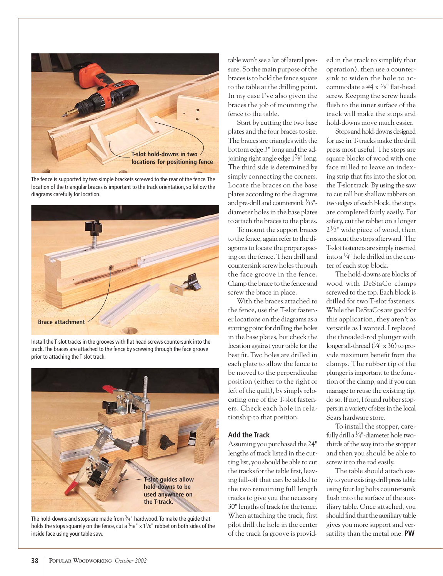

The fence is supported by two simple brackets screwed to the rear of the fence.The location of the triangular braces is important to the track orientation, so follow the diagrams carefully for location.



Install the T-slot tracks in the grooves with flat head screws countersunk into the track.The braces are attached to the fence by screwing through the face groove prior to attaching the T-slot track.



The hold-downs and stops are made from  $\frac{3}{4}$ " hardwood. To make the guide that holds the stops squarely on the fence, cut a  $\frac{1}{16}$ " x 1  $\frac{1}{8}$ " rabbet on both sides of the inside face using your table saw.

table won't see a lot of lateral pressure. So the main purpose of the braces is to hold the fence square to the table at the drilling point. In my case I've also given the braces the job of mounting the fence to the table.

Start by cutting the two base plates and the four braces to size. The braces are triangles with the bottom edge 3" long and the adjoining right angle edge  $1\%$ " long. The third side is determined by simply connecting the corners. Locate the braces on the base plates according to the diagrams and pre-drill and countersink  $\frac{3}{16}$ "diameter holes in the base plates to attach the braces to the plates.

To mount the support braces to the fence, again refer to the diagrams to locate the proper spacing on the fence. Then drill and countersink screw holes through the face groove in the fence. Clamp the brace to the fence and screw the brace in place.

With the braces attached to the fence, use the T-slot fastener locations on the diagrams as a starting point for drilling the holes in the base plates, but check the location against your table for the best fit. Two holes are drilled in each plate to allow the fence to be moved to the perpendicular position (either to the right or left of the quill), by simply relocating one of the T-slot fasteners. Check each hole in relationship to that position.

## **Add the Track**

Assuming you purchased the 24" lengths of track listed in the cutting list, you should be able to cut the tracks for the table first, leaving fall-off that can be added to the two remaining full length tracks to give you the necessary 30" lengths of track for the fence. When attaching the track, first pilot drill the hole in the center of the track (a groove is provided in the track to simplify that operation), then use a countersink to widen the hole to accommodate a #4 x <sup>5</sup>⁄8" flat-head screw. Keeping the screw heads flush to the inner surface of the track will make the stops and hold-downs move much easier.

Stops and hold-downs designed for use in T-tracks make the drill press most useful. The stops are square blocks of wood with one face milled to leave an indexing strip that fits into the slot on the T-slot track. By using the saw to cut tall but shallow rabbets on two edges of each block, the stops are completed fairly easily. For safety, cut the rabbet on a longer  $2^{1/2}$ " wide piece of wood, then crosscut the stops afterward. The T-slot fasteners are simply inserted into a  $\frac{1}{4}$ " hole drilled in the center of each stop block.

The hold-downs are blocks of wood with DeStaCo clamps screwed to the top. Each block is drilled for two T-slot fasteners. While the DeStaCos are good for this application, they aren't as versatile as I wanted. I replaced the threaded-rod plunger with longer all-thread  $(\frac{1}{4}$ " x 36) to provide maximum benefit from the clamps. The rubber tip of the plunger is important to the function of the clamp, and if you can manage to reuse the existing tip, do so. If not, I found rubber stoppers in a variety of sizes in the local Sears hardware store.

To install the stopper, carefully drill a  $\frac{1}{4}$ "-diameter hole twothirds of the way into the stopper and then you should be able to screw it to the rod easily.

The table should attach easily to your existing drill press table using four lag bolts countersunk flush into the surface of the auxiliary table. Once attached, you should find that the auxiliary table gives you more support and versatility than the metal one. **PW**